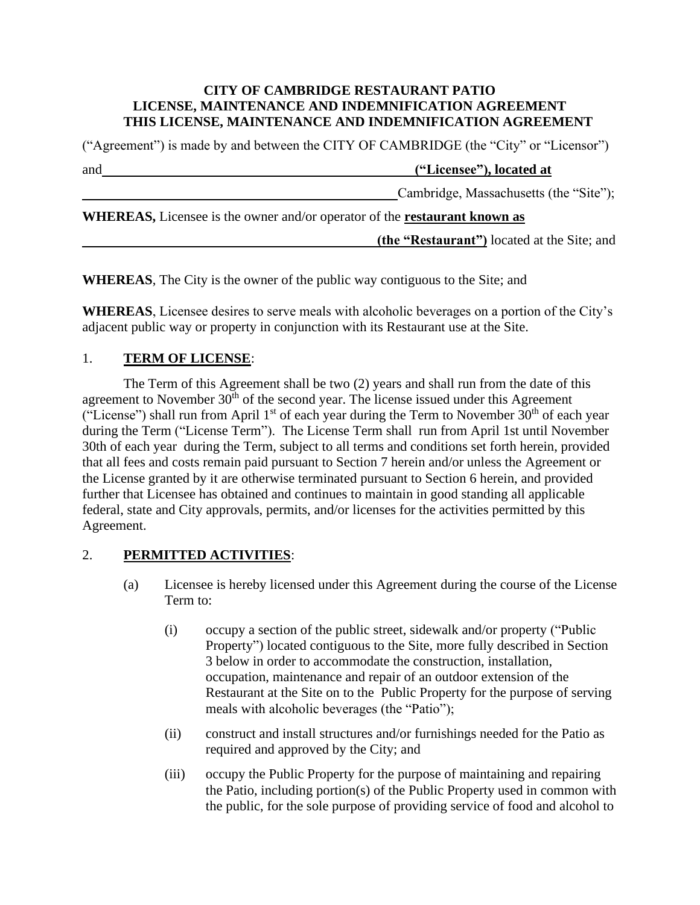#### **CITY OF CAMBRIDGE RESTAURANT PATIO LICENSE, MAINTENANCE AND INDEMNIFICATION AGREEMENT THIS LICENSE, MAINTENANCE AND INDEMNIFICATION AGREEMENT**

("Agreement") is made by and between the CITY OF CAMBRIDGE (the "City" or "Licensor")

and **("Licensee"), located at**

Cambridge, Massachusetts (the "Site");

**WHEREAS,** Licensee is the owner and/or operator of the **restaurant known as**

 **(the "Restaurant")** located at the Site; and

**WHEREAS**, The City is the owner of the public way contiguous to the Site; and

**WHEREAS**, Licensee desires to serve meals with alcoholic beverages on a portion of the City's adjacent public way or property in conjunction with its Restaurant use at the Site.

## 1. **TERM OF LICENSE**:

The Term of this Agreement shall be two (2) years and shall run from the date of this agreement to November  $30<sup>th</sup>$  of the second year. The license issued under this Agreement ("License") shall run from April 1<sup>st</sup> of each year during the Term to November  $30<sup>th</sup>$  of each year during the Term ("License Term"). The License Term shall run from April 1st until November 30th of each year during the Term, subject to all terms and conditions set forth herein, provided that all fees and costs remain paid pursuant to Section 7 herein and/or unless the Agreement or the License granted by it are otherwise terminated pursuant to Section 6 herein, and provided further that Licensee has obtained and continues to maintain in good standing all applicable federal, state and City approvals, permits, and/or licenses for the activities permitted by this Agreement.

## 2. **PERMITTED ACTIVITIES**:

- (a) Licensee is hereby licensed under this Agreement during the course of the License Term to:
	- (i) occupy a section of the public street, sidewalk and/or property ("Public Property") located contiguous to the Site, more fully described in Section 3 below in order to accommodate the construction, installation, occupation, maintenance and repair of an outdoor extension of the Restaurant at the Site on to the Public Property for the purpose of serving meals with alcoholic beverages (the "Patio");
	- (ii) construct and install structures and/or furnishings needed for the Patio as required and approved by the City; and
	- (iii) occupy the Public Property for the purpose of maintaining and repairing the Patio, including portion(s) of the Public Property used in common with the public, for the sole purpose of providing service of food and alcohol to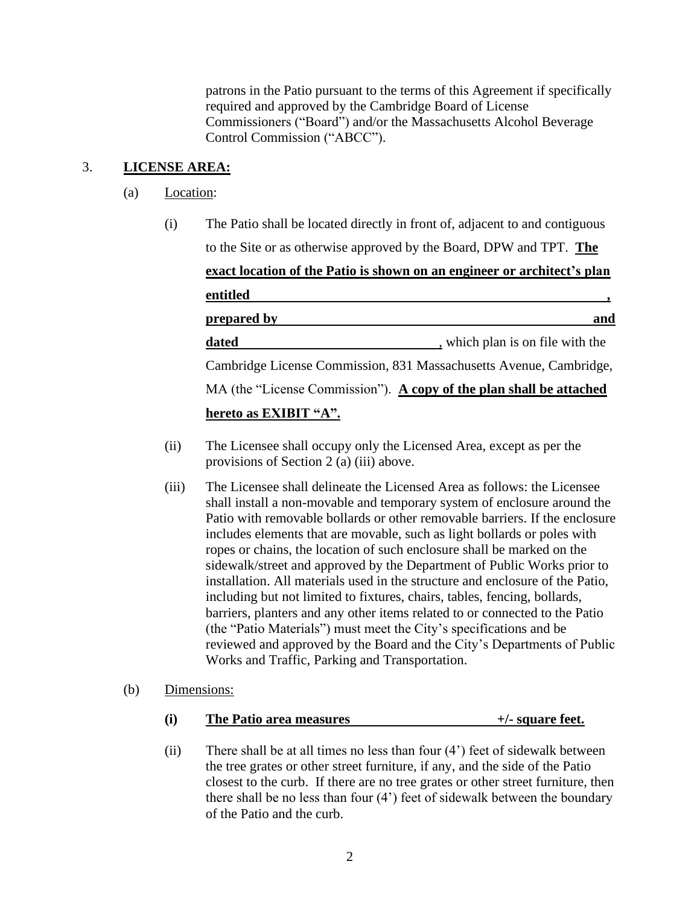patrons in the Patio pursuant to the terms of this Agreement if specifically required and approved by the Cambridge Board of License Commissioners ("Board") and/or the Massachusetts Alcohol Beverage Control Commission ("ABCC").

# 3. **LICENSE AREA:**

- (a) Location:
	- (i) The Patio shall be located directly in front of, adjacent to and contiguous to the Site or as otherwise approved by the Board, DPW and TPT. **The exact location of the Patio is shown on an engineer or architect's plan entitled , prepared by** and **and and and and and and and** dated **dated** , which plan is on file with the Cambridge License Commission, 831 Massachusetts Avenue, Cambridge, MA (the "License Commission"). **A copy of the plan shall be attached hereto as EXIBIT "A".**
	- (ii) The Licensee shall occupy only the Licensed Area, except as per the provisions of Section 2 (a) (iii) above.
	- (iii) The Licensee shall delineate the Licensed Area as follows: the Licensee shall install a non-movable and temporary system of enclosure around the Patio with removable bollards or other removable barriers. If the enclosure includes elements that are movable, such as light bollards or poles with ropes or chains, the location of such enclosure shall be marked on the sidewalk/street and approved by the Department of Public Works prior to installation. All materials used in the structure and enclosure of the Patio, including but not limited to fixtures, chairs, tables, fencing, bollards, barriers, planters and any other items related to or connected to the Patio (the "Patio Materials") must meet the City's specifications and be reviewed and approved by the Board and the City's Departments of Public Works and Traffic, Parking and Transportation.
- (b) Dimensions:

| (i) | The Patio area measures | $+/-$ square feet. |
|-----|-------------------------|--------------------|
|     |                         |                    |

(ii) There shall be at all times no less than four (4') feet of sidewalk between the tree grates or other street furniture, if any, and the side of the Patio closest to the curb. If there are no tree grates or other street furniture, then there shall be no less than four (4') feet of sidewalk between the boundary of the Patio and the curb.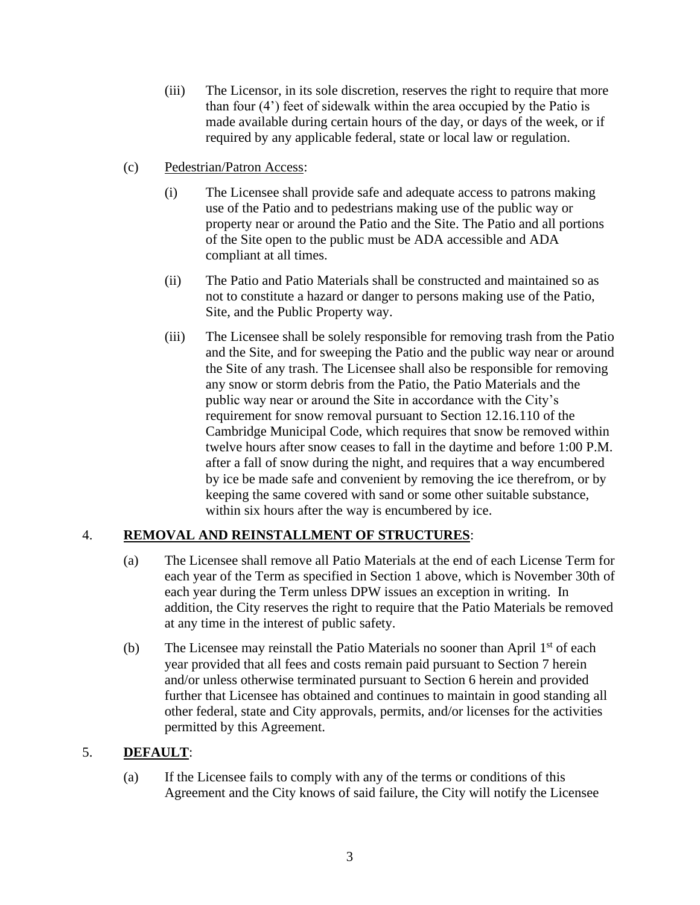- (iii) The Licensor, in its sole discretion, reserves the right to require that more than four (4') feet of sidewalk within the area occupied by the Patio is made available during certain hours of the day, or days of the week, or if required by any applicable federal, state or local law or regulation.
- (c) Pedestrian/Patron Access:
	- (i) The Licensee shall provide safe and adequate access to patrons making use of the Patio and to pedestrians making use of the public way or property near or around the Patio and the Site. The Patio and all portions of the Site open to the public must be ADA accessible and ADA compliant at all times.
	- (ii) The Patio and Patio Materials shall be constructed and maintained so as not to constitute a hazard or danger to persons making use of the Patio, Site, and the Public Property way.
	- (iii) The Licensee shall be solely responsible for removing trash from the Patio and the Site, and for sweeping the Patio and the public way near or around the Site of any trash. The Licensee shall also be responsible for removing any snow or storm debris from the Patio, the Patio Materials and the public way near or around the Site in accordance with the City's requirement for snow removal pursuant to Section 12.16.110 of the Cambridge Municipal Code, which requires that snow be removed within twelve hours after snow ceases to fall in the daytime and before 1:00 P.M. after a fall of snow during the night, and requires that a way encumbered by ice be made safe and convenient by removing the ice therefrom, or by keeping the same covered with sand or some other suitable substance, within six hours after the way is encumbered by ice.

## 4. **REMOVAL AND REINSTALLMENT OF STRUCTURES**:

- (a) The Licensee shall remove all Patio Materials at the end of each License Term for each year of the Term as specified in Section 1 above, which is November 30th of each year during the Term unless DPW issues an exception in writing. In addition, the City reserves the right to require that the Patio Materials be removed at any time in the interest of public safety.
- (b) The Licensee may reinstall the Patio Materials no sooner than April 1<sup>st</sup> of each year provided that all fees and costs remain paid pursuant to Section 7 herein and/or unless otherwise terminated pursuant to Section 6 herein and provided further that Licensee has obtained and continues to maintain in good standing all other federal, state and City approvals, permits, and/or licenses for the activities permitted by this Agreement.

## 5. **DEFAULT**:

(a) If the Licensee fails to comply with any of the terms or conditions of this Agreement and the City knows of said failure, the City will notify the Licensee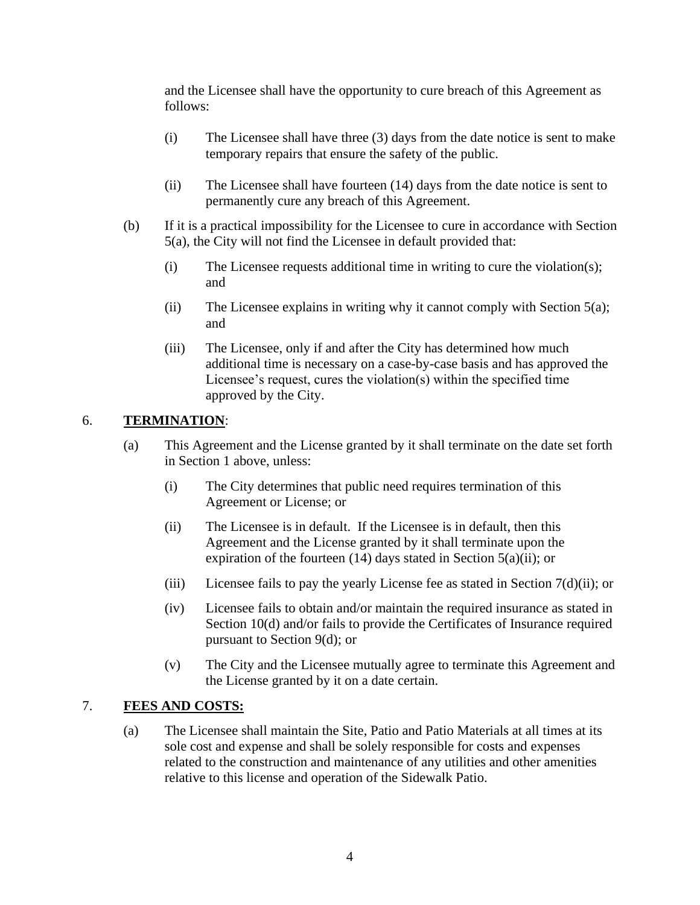and the Licensee shall have the opportunity to cure breach of this Agreement as follows:

- (i) The Licensee shall have three (3) days from the date notice is sent to make temporary repairs that ensure the safety of the public.
- (ii) The Licensee shall have fourteen (14) days from the date notice is sent to permanently cure any breach of this Agreement.
- (b) If it is a practical impossibility for the Licensee to cure in accordance with Section 5(a), the City will not find the Licensee in default provided that:
	- (i) The Licensee requests additional time in writing to cure the violation(s); and
	- (ii) The Licensee explains in writing why it cannot comply with Section 5(a); and
	- (iii) The Licensee, only if and after the City has determined how much additional time is necessary on a case-by-case basis and has approved the Licensee's request, cures the violation(s) within the specified time approved by the City.

## 6. **TERMINATION**:

- (a) This Agreement and the License granted by it shall terminate on the date set forth in Section 1 above, unless:
	- (i) The City determines that public need requires termination of this Agreement or License; or
	- (ii) The Licensee is in default. If the Licensee is in default, then this Agreement and the License granted by it shall terminate upon the expiration of the fourteen (14) days stated in Section 5(a)(ii); or
	- (iii) Licensee fails to pay the yearly License fee as stated in Section 7(d)(ii); or
	- (iv) Licensee fails to obtain and/or maintain the required insurance as stated in Section 10(d) and/or fails to provide the Certificates of Insurance required pursuant to Section 9(d); or
	- (v) The City and the Licensee mutually agree to terminate this Agreement and the License granted by it on a date certain.

## 7. **FEES AND COSTS:**

(a) The Licensee shall maintain the Site, Patio and Patio Materials at all times at its sole cost and expense and shall be solely responsible for costs and expenses related to the construction and maintenance of any utilities and other amenities relative to this license and operation of the Sidewalk Patio.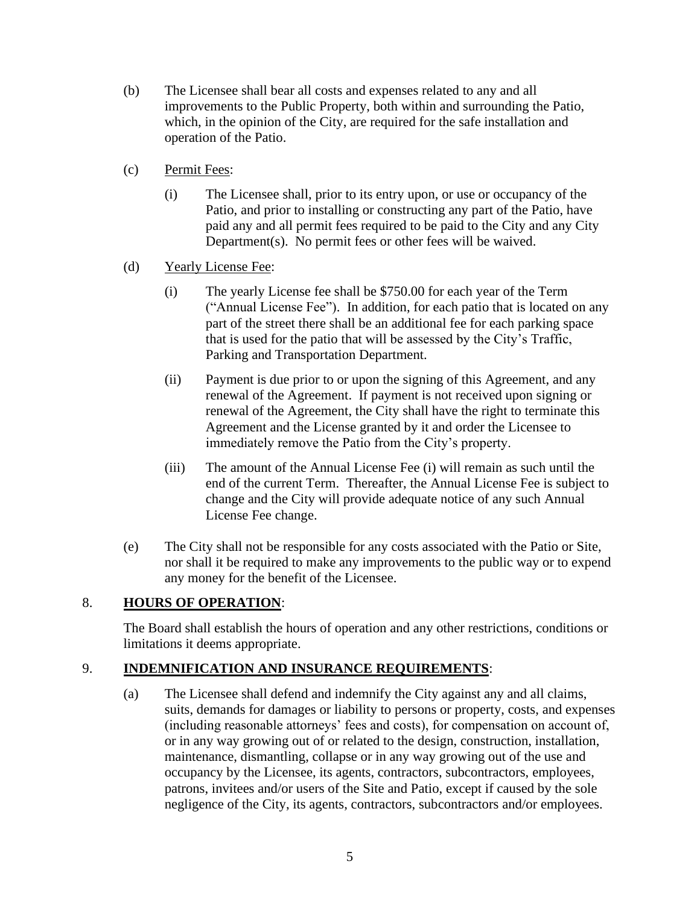- (b) The Licensee shall bear all costs and expenses related to any and all improvements to the Public Property, both within and surrounding the Patio, which, in the opinion of the City, are required for the safe installation and operation of the Patio.
- (c) Permit Fees:
	- (i) The Licensee shall, prior to its entry upon, or use or occupancy of the Patio, and prior to installing or constructing any part of the Patio, have paid any and all permit fees required to be paid to the City and any City Department(s). No permit fees or other fees will be waived.
- (d) Yearly License Fee:
	- (i) The yearly License fee shall be \$750.00 for each year of the Term ("Annual License Fee"). In addition, for each patio that is located on any part of the street there shall be an additional fee for each parking space that is used for the patio that will be assessed by the City's Traffic, Parking and Transportation Department.
	- (ii) Payment is due prior to or upon the signing of this Agreement, and any renewal of the Agreement. If payment is not received upon signing or renewal of the Agreement, the City shall have the right to terminate this Agreement and the License granted by it and order the Licensee to immediately remove the Patio from the City's property.
	- (iii) The amount of the Annual License Fee (i) will remain as such until the end of the current Term. Thereafter, the Annual License Fee is subject to change and the City will provide adequate notice of any such Annual License Fee change.
- (e) The City shall not be responsible for any costs associated with the Patio or Site, nor shall it be required to make any improvements to the public way or to expend any money for the benefit of the Licensee.

## 8. **HOURS OF OPERATION**:

The Board shall establish the hours of operation and any other restrictions, conditions or limitations it deems appropriate.

## 9. **INDEMNIFICATION AND INSURANCE REQUIREMENTS**:

(a) The Licensee shall defend and indemnify the City against any and all claims, suits, demands for damages or liability to persons or property, costs, and expenses (including reasonable attorneys' fees and costs), for compensation on account of, or in any way growing out of or related to the design, construction, installation, maintenance, dismantling, collapse or in any way growing out of the use and occupancy by the Licensee, its agents, contractors, subcontractors, employees, patrons, invitees and/or users of the Site and Patio, except if caused by the sole negligence of the City, its agents, contractors, subcontractors and/or employees.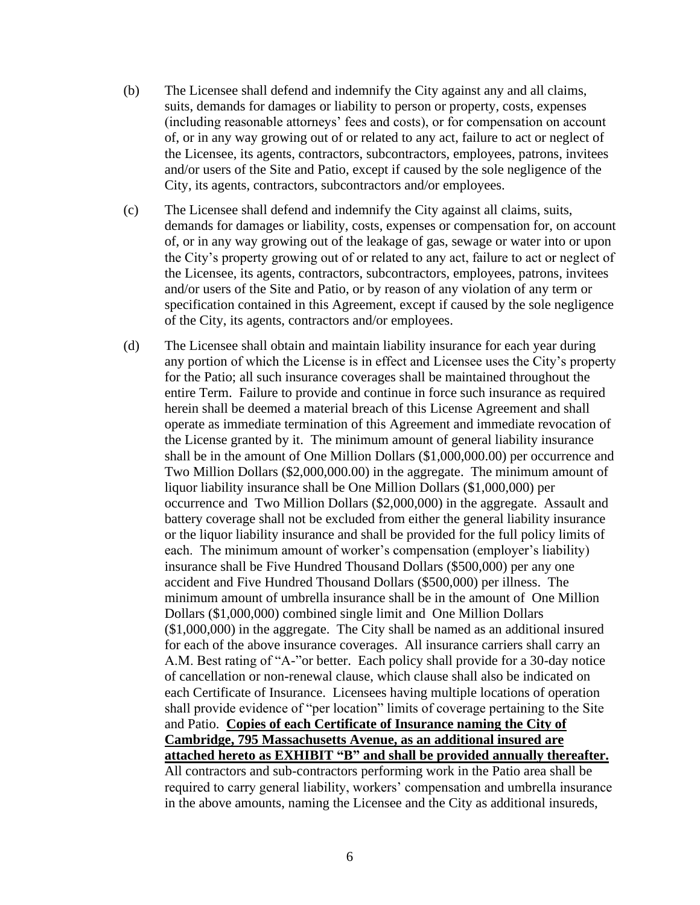- (b) The Licensee shall defend and indemnify the City against any and all claims, suits, demands for damages or liability to person or property, costs, expenses (including reasonable attorneys' fees and costs), or for compensation on account of, or in any way growing out of or related to any act, failure to act or neglect of the Licensee, its agents, contractors, subcontractors, employees, patrons, invitees and/or users of the Site and Patio, except if caused by the sole negligence of the City, its agents, contractors, subcontractors and/or employees.
- (c) The Licensee shall defend and indemnify the City against all claims, suits, demands for damages or liability, costs, expenses or compensation for, on account of, or in any way growing out of the leakage of gas, sewage or water into or upon the City's property growing out of or related to any act, failure to act or neglect of the Licensee, its agents, contractors, subcontractors, employees, patrons, invitees and/or users of the Site and Patio, or by reason of any violation of any term or specification contained in this Agreement, except if caused by the sole negligence of the City, its agents, contractors and/or employees.
- (d) The Licensee shall obtain and maintain liability insurance for each year during any portion of which the License is in effect and Licensee uses the City's property for the Patio; all such insurance coverages shall be maintained throughout the entire Term. Failure to provide and continue in force such insurance as required herein shall be deemed a material breach of this License Agreement and shall operate as immediate termination of this Agreement and immediate revocation of the License granted by it. The minimum amount of general liability insurance shall be in the amount of One Million Dollars (\$1,000,000.00) per occurrence and Two Million Dollars (\$2,000,000.00) in the aggregate. The minimum amount of liquor liability insurance shall be One Million Dollars (\$1,000,000) per occurrence and Two Million Dollars (\$2,000,000) in the aggregate. Assault and battery coverage shall not be excluded from either the general liability insurance or the liquor liability insurance and shall be provided for the full policy limits of each. The minimum amount of worker's compensation (employer's liability) insurance shall be Five Hundred Thousand Dollars (\$500,000) per any one accident and Five Hundred Thousand Dollars (\$500,000) per illness. The minimum amount of umbrella insurance shall be in the amount of One Million Dollars (\$1,000,000) combined single limit and One Million Dollars (\$1,000,000) in the aggregate. The City shall be named as an additional insured for each of the above insurance coverages. All insurance carriers shall carry an A.M. Best rating of "A-"or better. Each policy shall provide for a 30-day notice of cancellation or non-renewal clause, which clause shall also be indicated on each Certificate of Insurance. Licensees having multiple locations of operation shall provide evidence of "per location" limits of coverage pertaining to the Site and Patio. **Copies of each Certificate of Insurance naming the City of Cambridge, 795 Massachusetts Avenue, as an additional insured are attached hereto as EXHIBIT "B" and shall be provided annually thereafter.** All contractors and sub-contractors performing work in the Patio area shall be required to carry general liability, workers' compensation and umbrella insurance in the above amounts, naming the Licensee and the City as additional insureds,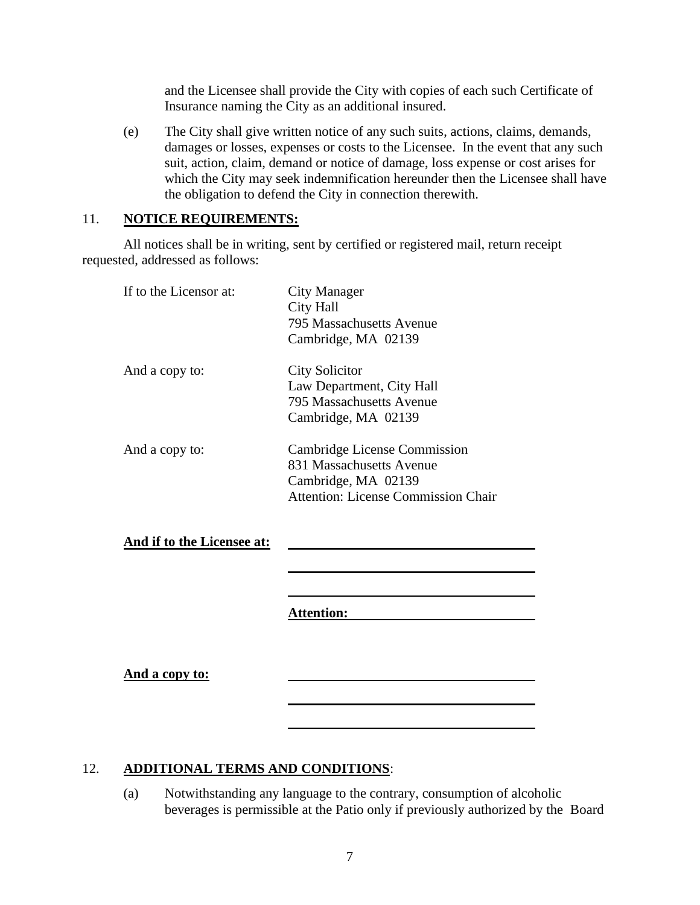and the Licensee shall provide the City with copies of each such Certificate of Insurance naming the City as an additional insured.

(e) The City shall give written notice of any such suits, actions, claims, demands, damages or losses, expenses or costs to the Licensee. In the event that any such suit, action, claim, demand or notice of damage, loss expense or cost arises for which the City may seek indemnification hereunder then the Licensee shall have the obligation to defend the City in connection therewith.

#### 11. **NOTICE REQUIREMENTS:**

All notices shall be in writing, sent by certified or registered mail, return receipt requested, addressed as follows:

| If to the Licensor at:     | City Manager<br><b>City Hall</b><br>795 Massachusetts Avenue<br>Cambridge, MA 02139                                                  |
|----------------------------|--------------------------------------------------------------------------------------------------------------------------------------|
| And a copy to:             | <b>City Solicitor</b><br>Law Department, City Hall<br>795 Massachusetts Avenue<br>Cambridge, MA 02139                                |
| And a copy to:             | <b>Cambridge License Commission</b><br>831 Massachusetts Avenue<br>Cambridge, MA 02139<br><b>Attention: License Commission Chair</b> |
| And if to the Licensee at: |                                                                                                                                      |
|                            |                                                                                                                                      |
|                            | <b>Attention:</b>                                                                                                                    |
| <u>And a copy to:</u>      |                                                                                                                                      |
|                            |                                                                                                                                      |

# 12. **ADDITIONAL TERMS AND CONDITIONS**:

(a) Notwithstanding any language to the contrary, consumption of alcoholic beverages is permissible at the Patio only if previously authorized by the Board